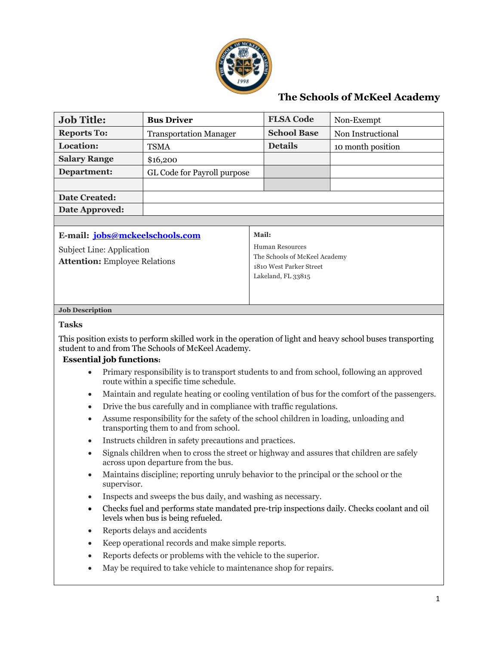

## **The Schools of McKeel Academy**

| <b>Job Title:</b>                                                 | <b>Bus Driver</b>             | <b>FLSA Code</b>                                                                                  | Non-Exempt        |  |  |
|-------------------------------------------------------------------|-------------------------------|---------------------------------------------------------------------------------------------------|-------------------|--|--|
| <b>Reports To:</b>                                                | <b>Transportation Manager</b> | <b>School Base</b>                                                                                | Non Instructional |  |  |
| Location:                                                         | <b>TSMA</b>                   | <b>Details</b>                                                                                    | 10 month position |  |  |
| <b>Salary Range</b>                                               | \$16,200                      |                                                                                                   |                   |  |  |
| Department:                                                       | GL Code for Payroll purpose   |                                                                                                   |                   |  |  |
|                                                                   |                               |                                                                                                   |                   |  |  |
| <b>Date Created:</b>                                              |                               |                                                                                                   |                   |  |  |
| Date Approved:                                                    |                               |                                                                                                   |                   |  |  |
|                                                                   |                               |                                                                                                   |                   |  |  |
| E-mail: jobs@mckeelschools.com                                    |                               | Mail:                                                                                             |                   |  |  |
| Subject Line: Application<br><b>Attention: Employee Relations</b> |                               | Human Resources<br>The Schools of McKeel Academy<br>1810 West Parker Street<br>Lakeland, FL 33815 |                   |  |  |
| <b>Job Description</b>                                            |                               |                                                                                                   |                   |  |  |
| <b>Tasks</b>                                                      |                               |                                                                                                   |                   |  |  |

This position exists to perform skilled work in the operation of light and heavy school buses transporting student to and from The Schools of McKeel Academy.

## **Essential job functions:**

- Primary responsibility is to transport students to and from school, following an approved route within a specific time schedule.
- Maintain and regulate heating or cooling ventilation of bus for the comfort of the passengers.
- Drive the bus carefully and in compliance with traffic regulations.
- Assume responsibility for the safety of the school children in loading, unloading and transporting them to and from school.
- Instructs children in safety precautions and practices.
- Signals children when to cross the street or highway and assures that children are safely across upon departure from the bus.
- Maintains discipline; reporting unruly behavior to the principal or the school or the supervisor.
- Inspects and sweeps the bus daily, and washing as necessary.
- Checks fuel and performs state mandated pre-trip inspections daily. Checks coolant and oil levels when bus is being refueled.
- Reports delays and accidents
- Keep operational records and make simple reports.
- Reports defects or problems with the vehicle to the superior.
- May be required to take vehicle to maintenance shop for repairs.